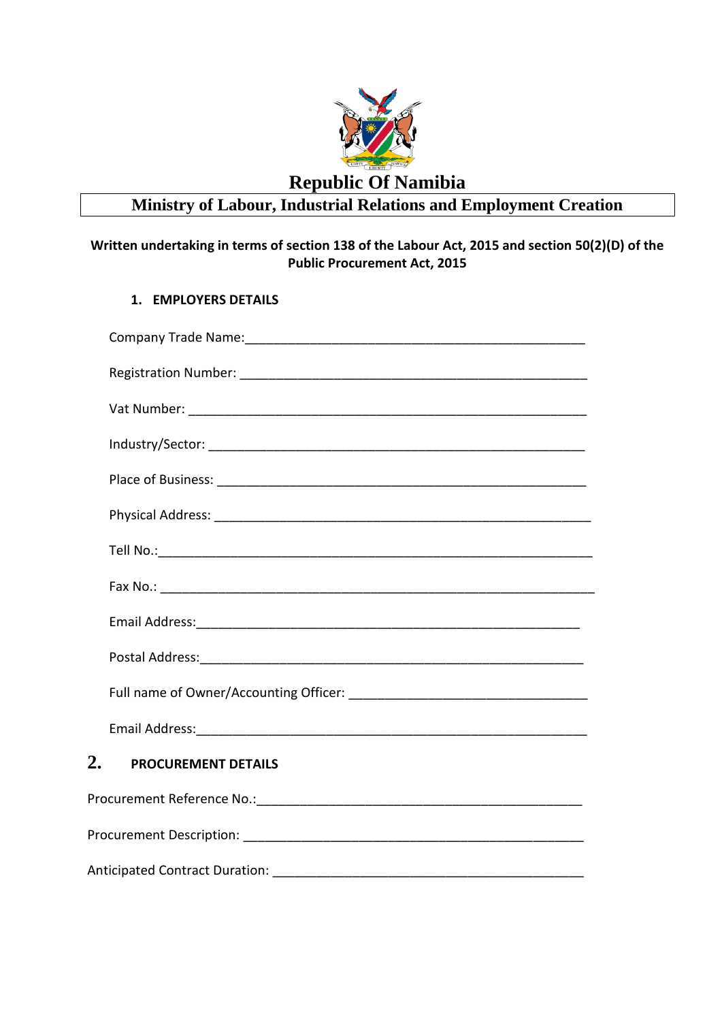

## **Ministry of Labour, Industrial Relations and Employment Creation**

## **Written undertaking in terms of section 138 of the Labour Act, 2015 and section 50(2)(D) of the Public Procurement Act, 2015**

## **1. EMPLOYERS DETAILS**

| 2.<br><b>PROCUREMENT DETAILS</b>      |
|---------------------------------------|
|                                       |
|                                       |
| <b>Anticipated Contract Duration:</b> |